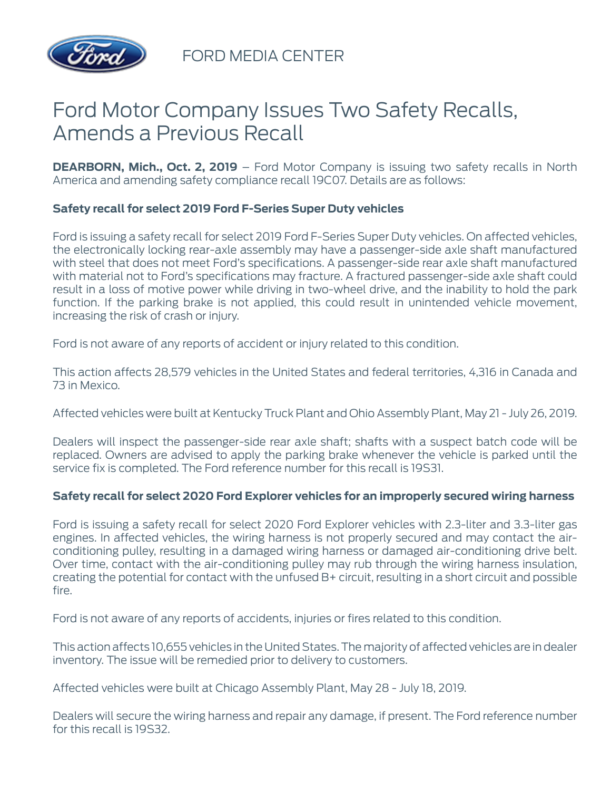

FORD MEDIA CENTER

# Ford Motor Company Issues Two Safety Recalls, Amends a Previous Recall

**DEARBORN, Mich., Oct. 2, 2019** – Ford Motor Company is issuing two safety recalls in North America and amending safety compliance recall 19C07. Details are as follows:

## **Safety recall for select 2019 Ford F-Series Super Duty vehicles**

Ford is issuing a safety recall for select 2019 Ford F-Series Super Duty vehicles. On affected vehicles, the electronically locking rear-axle assembly may have a passenger-side axle shaft manufactured with steel that does not meet Ford's specifications. A passenger-side rear axle shaft manufactured with material not to Ford's specifications may fracture. A fractured passenger-side axle shaft could result in a loss of motive power while driving in two-wheel drive, and the inability to hold the park function. If the parking brake is not applied, this could result in unintended vehicle movement, increasing the risk of crash or injury.

Ford is not aware of any reports of accident or injury related to this condition.

This action affects 28,579 vehicles in the United States and federal territories, 4,316 in Canada and 73 in Mexico.

Affected vehicles were built at Kentucky Truck Plant and Ohio Assembly Plant, May 21 - July 26, 2019.

Dealers will inspect the passenger-side rear axle shaft; shafts with a suspect batch code will be replaced. Owners are advised to apply the parking brake whenever the vehicle is parked until the service fix is completed. The Ford reference number for this recall is 19S31.

### **Safety recall for select 2020 Ford Explorer vehicles for an improperly secured wiring harness**

Ford is issuing a safety recall for select 2020 Ford Explorer vehicles with 2.3-liter and 3.3-liter gas engines. In affected vehicles, the wiring harness is not properly secured and may contact the airconditioning pulley, resulting in a damaged wiring harness or damaged air-conditioning drive belt. Over time, contact with the air-conditioning pulley may rub through the wiring harness insulation, creating the potential for contact with the unfused B+ circuit, resulting in a short circuit and possible fire.

Ford is not aware of any reports of accidents, injuries or fires related to this condition.

This action affects 10,655 vehicles in the United States. The majority of affected vehicles are in dealer inventory. The issue will be remedied prior to delivery to customers.

Affected vehicles were built at Chicago Assembly Plant, May 28 - July 18, 2019.

Dealers will secure the wiring harness and repair any damage, if present. The Ford reference number for this recall is 19S32.